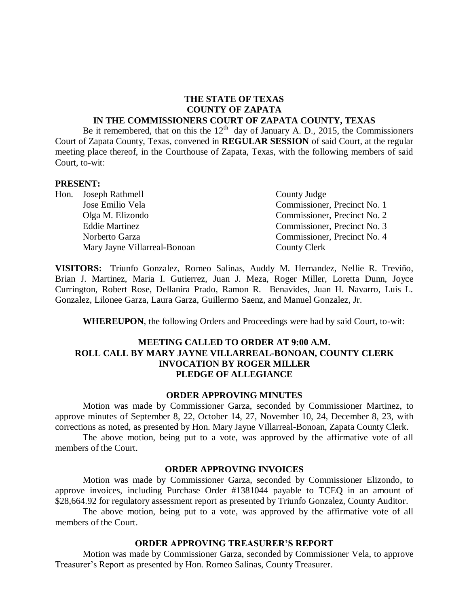#### **THE STATE OF TEXAS COUNTY OF ZAPATA IN THE COMMISSIONERS COURT OF ZAPATA COUNTY, TEXAS**

Be it remembered, that on this the  $12<sup>th</sup>$  day of January A. D., 2015, the Commissioners Court of Zapata County, Texas, convened in **REGULAR SESSION** of said Court, at the regular meeting place thereof, in the Courthouse of Zapata, Texas, with the following members of said Court, to-wit:

#### **PRESENT:**

| Hon. Joseph Rathmell         | County Judge                 |
|------------------------------|------------------------------|
| Jose Emilio Vela             | Commissioner, Precinct No. 1 |
| Olga M. Elizondo             | Commissioner, Precinct No. 2 |
| <b>Eddie Martinez</b>        | Commissioner, Precinct No. 3 |
| Norberto Garza               | Commissioner, Precinct No. 4 |
| Mary Jayne Villarreal-Bonoan | County Clerk                 |

**VISITORS:** Triunfo Gonzalez, Romeo Salinas, Auddy M. Hernandez, Nellie R. Treviño, Brian J. Martinez, Maria I. Gutierrez, Juan J. Meza, Roger Miller, Loretta Dunn, Joyce Currington, Robert Rose, Dellanira Prado, Ramon R. Benavides, Juan H. Navarro, Luis L. Gonzalez, Lilonee Garza, Laura Garza, Guillermo Saenz, and Manuel Gonzalez, Jr.

**WHEREUPON**, the following Orders and Proceedings were had by said Court, to-wit:

# **MEETING CALLED TO ORDER AT 9:00 A.M. ROLL CALL BY MARY JAYNE VILLARREAL-BONOAN, COUNTY CLERK INVOCATION BY ROGER MILLER PLEDGE OF ALLEGIANCE**

#### **ORDER APPROVING MINUTES**

Motion was made by Commissioner Garza, seconded by Commissioner Martinez, to approve minutes of September 8, 22, October 14, 27, November 10, 24, December 8, 23, with corrections as noted, as presented by Hon. Mary Jayne Villarreal-Bonoan, Zapata County Clerk.

The above motion, being put to a vote, was approved by the affirmative vote of all members of the Court.

#### **ORDER APPROVING INVOICES**

Motion was made by Commissioner Garza, seconded by Commissioner Elizondo, to approve invoices, including Purchase Order #1381044 payable to TCEQ in an amount of \$28,664.92 for regulatory assessment report as presented by Triunfo Gonzalez, County Auditor.

The above motion, being put to a vote, was approved by the affirmative vote of all members of the Court.

#### **ORDER APPROVING TREASURER'S REPORT**

Motion was made by Commissioner Garza, seconded by Commissioner Vela, to approve Treasurer's Report as presented by Hon. Romeo Salinas, County Treasurer.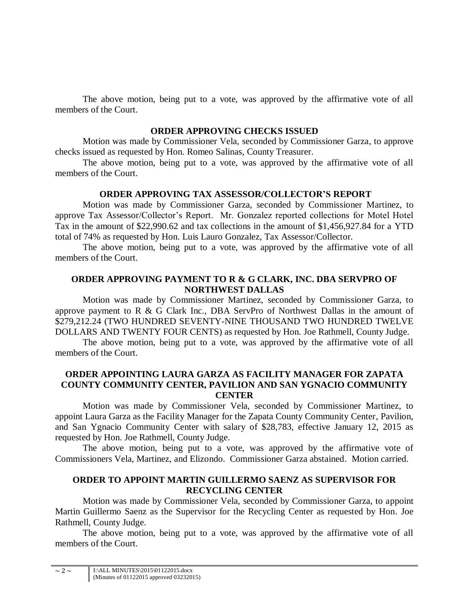The above motion, being put to a vote, was approved by the affirmative vote of all members of the Court.

# **ORDER APPROVING CHECKS ISSUED**

Motion was made by Commissioner Vela, seconded by Commissioner Garza, to approve checks issued as requested by Hon. Romeo Salinas, County Treasurer.

The above motion, being put to a vote, was approved by the affirmative vote of all members of the Court.

# **ORDER APPROVING TAX ASSESSOR/COLLECTOR'S REPORT**

Motion was made by Commissioner Garza, seconded by Commissioner Martinez, to approve Tax Assessor/Collector's Report. Mr. Gonzalez reported collections for Motel Hotel Tax in the amount of \$22,990.62 and tax collections in the amount of \$1,456,927.84 for a YTD total of 74% as requested by Hon. Luis Lauro Gonzalez, Tax Assessor/Collector.

The above motion, being put to a vote, was approved by the affirmative vote of all members of the Court.

# **ORDER APPROVING PAYMENT TO R & G CLARK, INC. DBA SERVPRO OF NORTHWEST DALLAS**

Motion was made by Commissioner Martinez, seconded by Commissioner Garza, to approve payment to R & G Clark Inc., DBA ServPro of Northwest Dallas in the amount of \$279,212.24 (TWO HUNDRED SEVENTY-NINE THOUSAND TWO HUNDRED TWELVE DOLLARS AND TWENTY FOUR CENTS) as requested by Hon. Joe Rathmell, County Judge.

The above motion, being put to a vote, was approved by the affirmative vote of all members of the Court.

# **ORDER APPOINTING LAURA GARZA AS FACILITY MANAGER FOR ZAPATA COUNTY COMMUNITY CENTER, PAVILION AND SAN YGNACIO COMMUNITY CENTER**

Motion was made by Commissioner Vela, seconded by Commissioner Martinez, to appoint Laura Garza as the Facility Manager for the Zapata County Community Center, Pavilion, and San Ygnacio Community Center with salary of \$28,783, effective January 12, 2015 as requested by Hon. Joe Rathmell, County Judge.

The above motion, being put to a vote, was approved by the affirmative vote of Commissioners Vela, Martinez, and Elizondo. Commissioner Garza abstained. Motion carried.

# **ORDER TO APPOINT MARTIN GUILLERMO SAENZ AS SUPERVISOR FOR RECYCLING CENTER**

Motion was made by Commissioner Vela, seconded by Commissioner Garza, to appoint Martin Guillermo Saenz as the Supervisor for the Recycling Center as requested by Hon. Joe Rathmell, County Judge.

The above motion, being put to a vote, was approved by the affirmative vote of all members of the Court.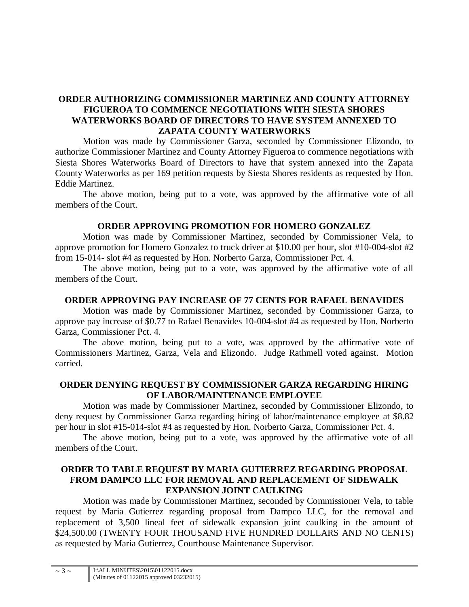# **ORDER AUTHORIZING COMMISSIONER MARTINEZ AND COUNTY ATTORNEY FIGUEROA TO COMMENCE NEGOTIATIONS WITH SIESTA SHORES WATERWORKS BOARD OF DIRECTORS TO HAVE SYSTEM ANNEXED TO ZAPATA COUNTY WATERWORKS**

Motion was made by Commissioner Garza, seconded by Commissioner Elizondo, to authorize Commissioner Martinez and County Attorney Figueroa to commence negotiations with Siesta Shores Waterworks Board of Directors to have that system annexed into the Zapata County Waterworks as per 169 petition requests by Siesta Shores residents as requested by Hon. Eddie Martinez.

The above motion, being put to a vote, was approved by the affirmative vote of all members of the Court.

#### **ORDER APPROVING PROMOTION FOR HOMERO GONZALEZ**

Motion was made by Commissioner Martinez, seconded by Commissioner Vela, to approve promotion for Homero Gonzalez to truck driver at \$10.00 per hour, slot #10-004-slot #2 from 15-014- slot #4 as requested by Hon. Norberto Garza, Commissioner Pct. 4.

The above motion, being put to a vote, was approved by the affirmative vote of all members of the Court.

# **ORDER APPROVING PAY INCREASE OF 77 CENTS FOR RAFAEL BENAVIDES**

Motion was made by Commissioner Martinez, seconded by Commissioner Garza, to approve pay increase of \$0.77 to Rafael Benavides 10-004-slot #4 as requested by Hon. Norberto Garza, Commissioner Pct. 4.

The above motion, being put to a vote, was approved by the affirmative vote of Commissioners Martinez, Garza, Vela and Elizondo. Judge Rathmell voted against. Motion carried.

#### **ORDER DENYING REQUEST BY COMMISSIONER GARZA REGARDING HIRING OF LABOR/MAINTENANCE EMPLOYEE**

Motion was made by Commissioner Martinez, seconded by Commissioner Elizondo, to deny request by Commissioner Garza regarding hiring of labor/maintenance employee at \$8.82 per hour in slot #15-014-slot #4 as requested by Hon. Norberto Garza, Commissioner Pct. 4.

The above motion, being put to a vote, was approved by the affirmative vote of all members of the Court.

# **ORDER TO TABLE REQUEST BY MARIA GUTIERREZ REGARDING PROPOSAL FROM DAMPCO LLC FOR REMOVAL AND REPLACEMENT OF SIDEWALK EXPANSION JOINT CAULKING**

Motion was made by Commissioner Martinez, seconded by Commissioner Vela, to table request by Maria Gutierrez regarding proposal from Dampco LLC, for the removal and replacement of 3,500 lineal feet of sidewalk expansion joint caulking in the amount of \$24,500.00 (TWENTY FOUR THOUSAND FIVE HUNDRED DOLLARS AND NO CENTS) as requested by Maria Gutierrez, Courthouse Maintenance Supervisor.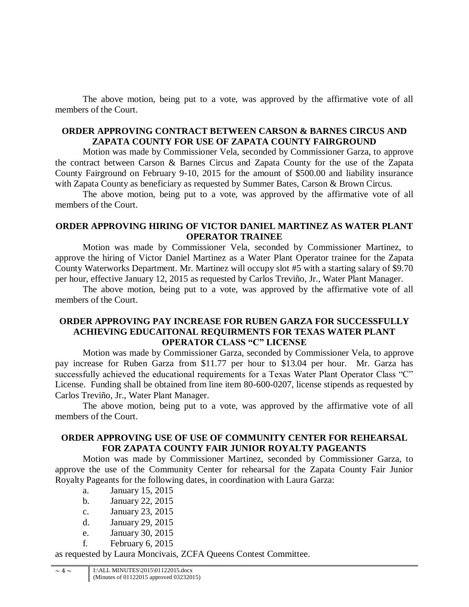The above motion, being put to a vote, was approved by the affirmative vote of all members of the Court.

# **ORDER APPROVING CONTRACT BETWEEN CARSON & BARNES CIRCUS AND ZAPATA COUNTY FOR USE OF ZAPATA COUNTY FAIRGROUND**

Motion was made by Commissioner Vela, seconded by Commissioner Garza, to approve the contract between Carson & Barnes Circus and Zapata County for the use of the Zapata County Fairground on February 9-10, 2015 for the amount of \$500.00 and liability insurance with Zapata County as beneficiary as requested by Summer Bates, Carson & Brown Circus.

The above motion, being put to a vote, was approved by the affirmative vote of all members of the Court.

# **ORDER APPROVING HIRING OF VICTOR DANIEL MARTINEZ AS WATER PLANT OPERATOR TRAINEE**

Motion was made by Commissioner Vela, seconded by Commissioner Martinez, to approve the hiring of Victor Daniel Martinez as a Water Plant Operator trainee for the Zapata County Waterworks Department. Mr. Martinez will occupy slot #5 with a starting salary of \$9.70 per hour, effective January 12, 2015 as requested by Carlos Treviño, Jr., Water Plant Manager.

The above motion, being put to a vote, was approved by the affirmative vote of all members of the Court.

# **ORDER APPROVING PAY INCREASE FOR RUBEN GARZA FOR SUCCESSFULLY ACHIEVING EDUCAITONAL REQUIRMENTS FOR TEXAS WATER PLANT OPERATOR CLASS "C" LICENSE**

Motion was made by Commissioner Garza, seconded by Commissioner Vela, to approve pay increase for Ruben Garza from \$11.77 per hour to \$13.04 per hour. Mr. Garza has successfully achieved the educational requirements for a Texas Water Plant Operator Class "C" License. Funding shall be obtained from line item 80-600-0207, license stipends as requested by Carlos Treviño, Jr., Water Plant Manager.

The above motion, being put to a vote, was approved by the affirmative vote of all members of the Court.

# **ORDER APPROVING USE OF USE OF COMMUNITY CENTER FOR REHEARSAL FOR ZAPATA COUNTY FAIR JUNIOR ROYALTY PAGEANTS**

Motion was made by Commissioner Martinez, seconded by Commissioner Garza, to approve the use of the Community Center for rehearsal for the Zapata County Fair Junior Royalty Pageants for the following dates, in coordination with Laura Garza:

- a. January 15, 2015
- b. January 22, 2015
- c. January 23, 2015
- d. January 29, 2015
- e. January 30, 2015
- f. February 6, 2015

as requested by Laura Moncivais, ZCFA Queens Contest Committee.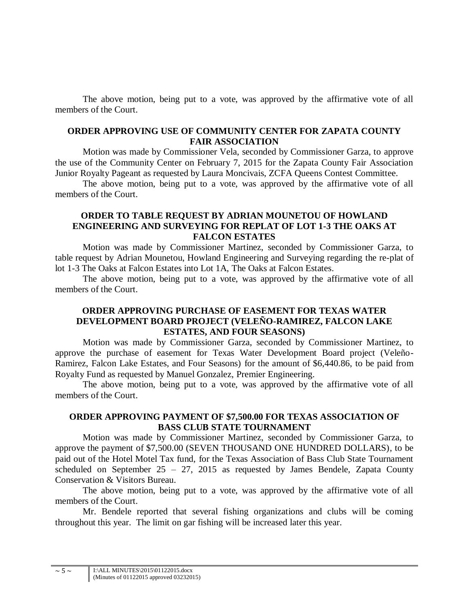The above motion, being put to a vote, was approved by the affirmative vote of all members of the Court.

# **ORDER APPROVING USE OF COMMUNITY CENTER FOR ZAPATA COUNTY FAIR ASSOCIATION**

Motion was made by Commissioner Vela, seconded by Commissioner Garza, to approve the use of the Community Center on February 7, 2015 for the Zapata County Fair Association Junior Royalty Pageant as requested by Laura Moncivais, ZCFA Queens Contest Committee.

The above motion, being put to a vote, was approved by the affirmative vote of all members of the Court.

# **ORDER TO TABLE REQUEST BY ADRIAN MOUNETOU OF HOWLAND ENGINEERING AND SURVEYING FOR REPLAT OF LOT 1-3 THE OAKS AT FALCON ESTATES**

Motion was made by Commissioner Martinez, seconded by Commissioner Garza, to table request by Adrian Mounetou, Howland Engineering and Surveying regarding the re-plat of lot 1-3 The Oaks at Falcon Estates into Lot 1A, The Oaks at Falcon Estates.

The above motion, being put to a vote, was approved by the affirmative vote of all members of the Court.

# **ORDER APPROVING PURCHASE OF EASEMENT FOR TEXAS WATER DEVELOPMENT BOARD PROJECT (VELEÑO-RAMIREZ, FALCON LAKE ESTATES, AND FOUR SEASONS)**

Motion was made by Commissioner Garza, seconded by Commissioner Martinez, to approve the purchase of easement for Texas Water Development Board project (Veleño-Ramirez, Falcon Lake Estates, and Four Seasons) for the amount of \$6,440.86, to be paid from Royalty Fund as requested by Manuel Gonzalez, Premier Engineering.

The above motion, being put to a vote, was approved by the affirmative vote of all members of the Court.

#### **ORDER APPROVING PAYMENT OF \$7,500.00 FOR TEXAS ASSOCIATION OF BASS CLUB STATE TOURNAMENT**

Motion was made by Commissioner Martinez, seconded by Commissioner Garza, to approve the payment of \$7,500.00 (SEVEN THOUSAND ONE HUNDRED DOLLARS), to be paid out of the Hotel Motel Tax fund, for the Texas Association of Bass Club State Tournament scheduled on September 25 – 27, 2015 as requested by James Bendele, Zapata County Conservation & Visitors Bureau.

The above motion, being put to a vote, was approved by the affirmative vote of all members of the Court.

Mr. Bendele reported that several fishing organizations and clubs will be coming throughout this year. The limit on gar fishing will be increased later this year.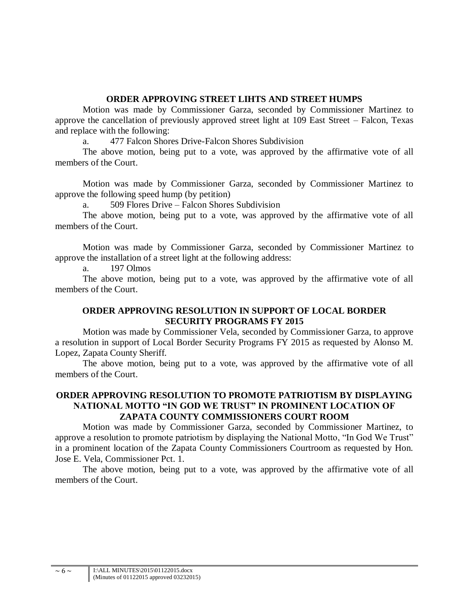# **ORDER APPROVING STREET LIHTS AND STREET HUMPS**

Motion was made by Commissioner Garza, seconded by Commissioner Martinez to approve the cancellation of previously approved street light at 109 East Street – Falcon, Texas and replace with the following:

a. 477 Falcon Shores Drive-Falcon Shores Subdivision

The above motion, being put to a vote, was approved by the affirmative vote of all members of the Court.

Motion was made by Commissioner Garza, seconded by Commissioner Martinez to approve the following speed hump (by petition)

a. 509 Flores Drive – Falcon Shores Subdivision

The above motion, being put to a vote, was approved by the affirmative vote of all members of the Court.

Motion was made by Commissioner Garza, seconded by Commissioner Martinez to approve the installation of a street light at the following address:

a. 197 Olmos

The above motion, being put to a vote, was approved by the affirmative vote of all members of the Court.

# **ORDER APPROVING RESOLUTION IN SUPPORT OF LOCAL BORDER SECURITY PROGRAMS FY 2015**

Motion was made by Commissioner Vela, seconded by Commissioner Garza, to approve a resolution in support of Local Border Security Programs FY 2015 as requested by Alonso M. Lopez, Zapata County Sheriff.

The above motion, being put to a vote, was approved by the affirmative vote of all members of the Court.

# **ORDER APPROVING RESOLUTION TO PROMOTE PATRIOTISM BY DISPLAYING NATIONAL MOTTO "IN GOD WE TRUST" IN PROMINENT LOCATION OF ZAPATA COUNTY COMMISSIONERS COURT ROOM**

Motion was made by Commissioner Garza, seconded by Commissioner Martinez, to approve a resolution to promote patriotism by displaying the National Motto, "In God We Trust" in a prominent location of the Zapata County Commissioners Courtroom as requested by Hon. Jose E. Vela, Commissioner Pct. 1.

The above motion, being put to a vote, was approved by the affirmative vote of all members of the Court.